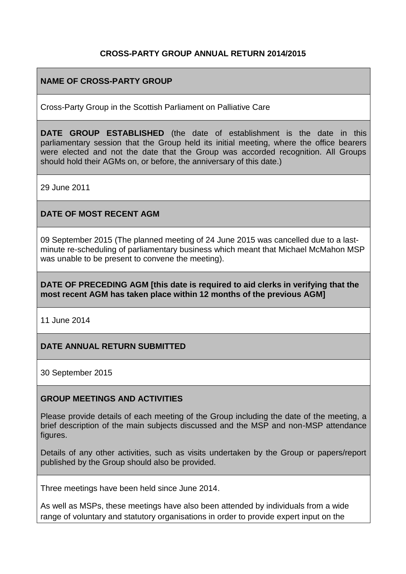## **CROSS-PARTY GROUP ANNUAL RETURN 2014/2015**

## **NAME OF CROSS-PARTY GROUP**

Cross-Party Group in the Scottish Parliament on Palliative Care

**DATE GROUP ESTABLISHED** (the date of establishment is the date in this parliamentary session that the Group held its initial meeting, where the office bearers were elected and not the date that the Group was accorded recognition. All Groups should hold their AGMs on, or before, the anniversary of this date.)

29 June 2011

## **DATE OF MOST RECENT AGM**

09 September 2015 (The planned meeting of 24 June 2015 was cancelled due to a lastminute re-scheduling of parliamentary business which meant that Michael McMahon MSP was unable to be present to convene the meeting).

#### **DATE OF PRECEDING AGM [this date is required to aid clerks in verifying that the most recent AGM has taken place within 12 months of the previous AGM]**

11 June 2014

## **DATE ANNUAL RETURN SUBMITTED**

30 September 2015

#### **GROUP MEETINGS AND ACTIVITIES**

Please provide details of each meeting of the Group including the date of the meeting, a brief description of the main subjects discussed and the MSP and non-MSP attendance figures.

Details of any other activities, such as visits undertaken by the Group or papers/report published by the Group should also be provided.

Three meetings have been held since June 2014.

As well as MSPs, these meetings have also been attended by individuals from a wide range of voluntary and statutory organisations in order to provide expert input on the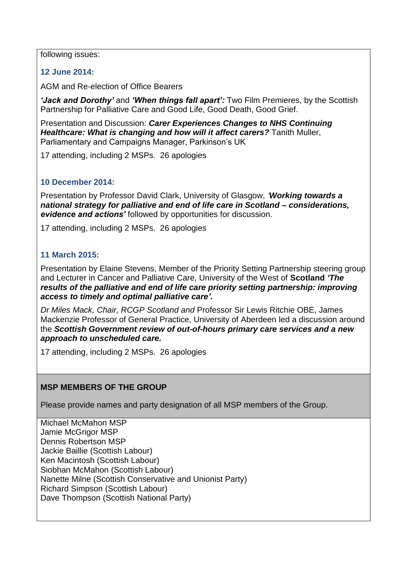following issues:

## **12 June 2014:**

AGM and Re-election of Office Bearers

*'Jack and Dorothy'* and *'When things fall apart':* Two Film Premieres, by the Scottish Partnership for Palliative Care and Good Life, Good Death, Good Grief.

Presentation and Discussion: *Carer Experiences Changes to NHS Continuing Healthcare: What is changing and how will it affect carers?* Tanith Muller, Parliamentary and Campaigns Manager, Parkinson's UK

17 attending, including 2 MSPs. 26 apologies

## **10 December 2014:**

Presentation by Professor David Clark, University of Glasgow, *'Working towards a national strategy for palliative and end of life care in Scotland – considerations, evidence and actions'* followed by opportunities for discussion.

17 attending, including 2 MSPs. 26 apologies

#### **11 March 2015:**

Presentation by Elaine Stevens, Member of the Priority Setting Partnership steering group and Lecturer in Cancer and Palliative Care, University of the West of **Scotland** *'The results of the palliative and end of life care priority setting partnership: improving access to timely and optimal palliative care'.*

*Dr Miles Mack, Chair, RCGP Scotland and* Professor Sir Lewis Ritchie OBE, James Mackenzie Professor of General Practice, University of Aberdeen led a discussion around the *Scottish Government review of out-of-hours primary care services and a new approach to unscheduled care.*

17 attending, including 2 MSPs. 26 apologies

## **MSP MEMBERS OF THE GROUP**

Please provide names and party designation of all MSP members of the Group.

Michael McMahon MSP Jamie McGrigor MSP Dennis Robertson MSP Jackie Baillie (Scottish Labour) Ken Macintosh (Scottish Labour) Siobhan McMahon (Scottish Labour) Nanette Milne (Scottish Conservative and Unionist Party) Richard Simpson (Scottish Labour) Dave Thompson (Scottish National Party)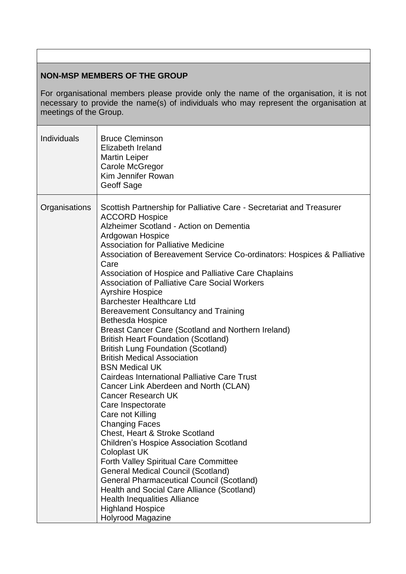#### **NON-MSP MEMBERS OF THE GROUP**

For organisational members please provide only the name of the organisation, it is not necessary to provide the name(s) of individuals who may represent the organisation at meetings of the Group.

| Individuals   | <b>Bruce Cleminson</b><br>Elizabeth Ireland<br><b>Martin Leiper</b><br>Carole McGregor<br>Kim Jennifer Rowan<br>Geoff Sage                                                                                                                                                                                                                                                                                                                                                                                                                                                                                                                                                                                                                                                                                                                                                                                                                                                                                                                                                                                                                                                                                                                                                                                                                                      |
|---------------|-----------------------------------------------------------------------------------------------------------------------------------------------------------------------------------------------------------------------------------------------------------------------------------------------------------------------------------------------------------------------------------------------------------------------------------------------------------------------------------------------------------------------------------------------------------------------------------------------------------------------------------------------------------------------------------------------------------------------------------------------------------------------------------------------------------------------------------------------------------------------------------------------------------------------------------------------------------------------------------------------------------------------------------------------------------------------------------------------------------------------------------------------------------------------------------------------------------------------------------------------------------------------------------------------------------------------------------------------------------------|
| Organisations | Scottish Partnership for Palliative Care - Secretariat and Treasurer<br><b>ACCORD Hospice</b><br>Alzheimer Scotland - Action on Dementia<br>Ardgowan Hospice<br><b>Association for Palliative Medicine</b><br>Association of Bereavement Service Co-ordinators: Hospices & Palliative<br>Care<br>Association of Hospice and Palliative Care Chaplains<br>Association of Palliative Care Social Workers<br><b>Ayrshire Hospice</b><br><b>Barchester Healthcare Ltd</b><br>Bereavement Consultancy and Training<br><b>Bethesda Hospice</b><br>Breast Cancer Care (Scotland and Northern Ireland)<br><b>British Heart Foundation (Scotland)</b><br><b>British Lung Foundation (Scotland)</b><br><b>British Medical Association</b><br><b>BSN Medical UK</b><br><b>Cairdeas International Palliative Care Trust</b><br>Cancer Link Aberdeen and North (CLAN)<br><b>Cancer Research UK</b><br>Care Inspectorate<br>Care not Killing<br><b>Changing Faces</b><br>Chest, Heart & Stroke Scotland<br><b>Children's Hospice Association Scotland</b><br><b>Coloplast UK</b><br><b>Forth Valley Spiritual Care Committee</b><br><b>General Medical Council (Scotland)</b><br><b>General Pharmaceutical Council (Scotland)</b><br>Health and Social Care Alliance (Scotland)<br><b>Health Inequalities Alliance</b><br><b>Highland Hospice</b><br><b>Holyrood Magazine</b> |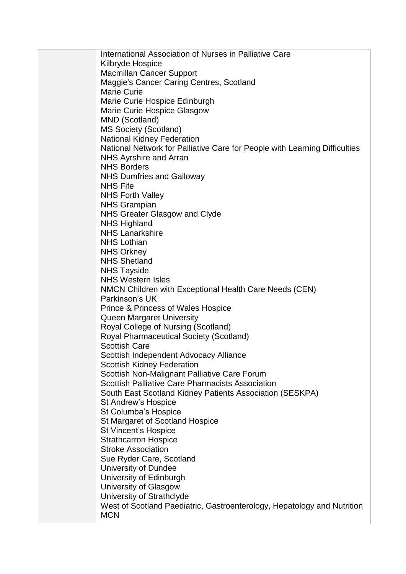International Association of Nurses in Palliative Care Kilbryde Hospice Macmillan Cancer Support Maggie's Cancer Caring Centres, Scotland Marie Curie Marie Curie Hospice Edinburgh Marie Curie Hospice Glasgow MND (Scotland) MS Society (Scotland) National Kidney Federation National Network for Palliative Care for People with Learning Difficulties NHS Ayrshire and Arran NHS Borders NHS Dumfries and Galloway NHS Fife NHS Forth Valley NHS Grampian NHS Greater Glasgow and Clyde NHS Highland NHS Lanarkshire NHS Lothian NHS Orkney NHS Shetland NHS Tayside NHS Western Isles NMCN Children with Exceptional Health Care Needs (CEN) Parkinson's UK Prince & Princess of Wales Hospice Queen Margaret University Royal College of Nursing (Scotland) Royal Pharmaceutical Society (Scotland) Scottish Care Scottish Independent Advocacy Alliance Scottish Kidney Federation Scottish Non-Malignant Palliative Care Forum Scottish Palliative Care Pharmacists Association South East Scotland Kidney Patients Association (SESKPA) St Andrew's Hospice St Columba's Hospice St Margaret of Scotland Hospice St Vincent's Hospice Strathcarron Hospice Stroke Association Sue Ryder Care, Scotland University of Dundee University of Edinburgh University of Glasgow University of Strathclyde West of Scotland Paediatric, Gastroenterology, Hepatology and Nutrition **MCN**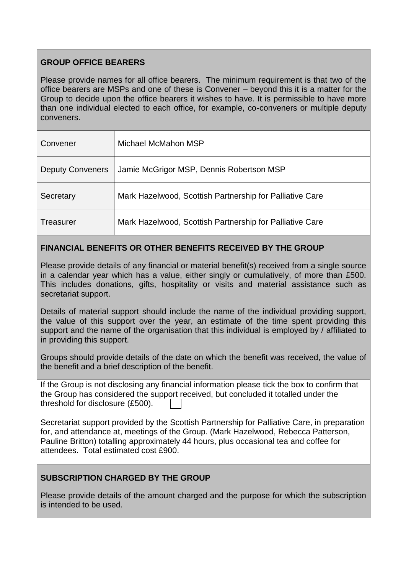# **GROUP OFFICE BEARERS**

Please provide names for all office bearers. The minimum requirement is that two of the office bearers are MSPs and one of these is Convener – beyond this it is a matter for the Group to decide upon the office bearers it wishes to have. It is permissible to have more than one individual elected to each office, for example, co-conveners or multiple deputy conveners.

| Convener                | Michael McMahon MSP                                      |
|-------------------------|----------------------------------------------------------|
| <b>Deputy Conveners</b> | Jamie McGrigor MSP, Dennis Robertson MSP                 |
| Secretary               | Mark Hazelwood, Scottish Partnership for Palliative Care |
| Treasurer               | Mark Hazelwood, Scottish Partnership for Palliative Care |

# **FINANCIAL BENEFITS OR OTHER BENEFITS RECEIVED BY THE GROUP**

Please provide details of any financial or material benefit(s) received from a single source in a calendar year which has a value, either singly or cumulatively, of more than £500. This includes donations, gifts, hospitality or visits and material assistance such as secretariat support.

Details of material support should include the name of the individual providing support, the value of this support over the year, an estimate of the time spent providing this support and the name of the organisation that this individual is employed by / affiliated to in providing this support.

Groups should provide details of the date on which the benefit was received, the value of the benefit and a brief description of the benefit.

If the Group is not disclosing any financial information please tick the box to confirm that the Group has considered the support received, but concluded it totalled under the threshold for disclosure (£500).

Secretariat support provided by the Scottish Partnership for Palliative Care, in preparation for, and attendance at, meetings of the Group. (Mark Hazelwood, Rebecca Patterson, Pauline Britton) totalling approximately 44 hours, plus occasional tea and coffee for attendees. Total estimated cost £900.

# **SUBSCRIPTION CHARGED BY THE GROUP**

Please provide details of the amount charged and the purpose for which the subscription is intended to be used.